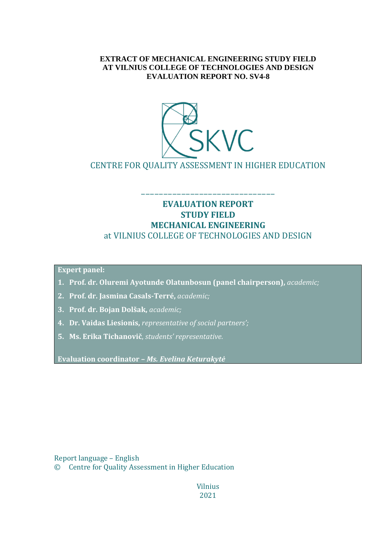#### **EXTRACT OF MECHANICAL ENGINEERING STUDY FIELD AT VILNIUS COLLEGE OF TECHNOLOGIES AND DESIGN EVALUATION REPORT NO. SV4-8**



#### CENTRE FOR QUALITY ASSESSMENT IN HIGHER EDUCATION

#### **EVALUATION REPORT STUDY FIELD MECHANICAL ENGINEERING** at VILNIUS COLLEGE OF TECHNOLOGIES AND DESIGN

––––––––––––––––––––––––––––––

**Expert panel:**

- **1. Prof. dr. Oluremi Ayotunde Olatunbosun (panel chairperson),** *academic;*
- **2. Prof. dr. Jasmina Casals-Terré,** *academic;*
- **3. Prof. dr. Bojan Dolšak,** *academic;*
- **4. Dr. Vaidas Liesionis,** *representative of social partners';*
- **5. Ms. Erika Tichanovič**, *students' representative.*

**Evaluation coordinator –** *Ms. Evelina Keturakytė*

Report language – English © Centre for Quality Assessment in Higher Education

> Vilnius 2021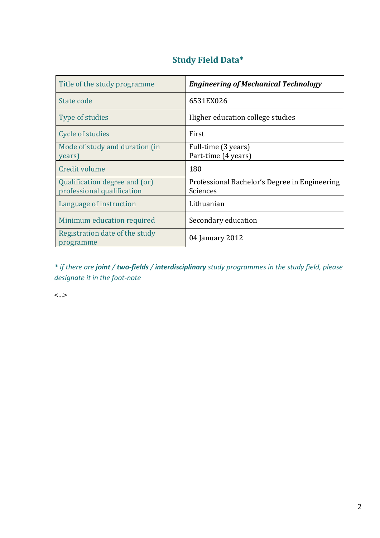## **Study Field Data\***

| Title of the study programme                                | <b>Engineering of Mechanical Technology</b>               |
|-------------------------------------------------------------|-----------------------------------------------------------|
| State code                                                  | 6531EX026                                                 |
| Type of studies                                             | Higher education college studies                          |
| Cycle of studies                                            | First                                                     |
| Mode of study and duration (in<br>years)                    | Full-time (3 years)<br>Part-time (4 years)                |
| Credit volume                                               | 180                                                       |
| Qualification degree and (or)<br>professional qualification | Professional Bachelor's Degree in Engineering<br>Sciences |
| Language of instruction                                     | Lithuanian                                                |
| Minimum education required                                  | Secondary education                                       |
| Registration date of the study<br>programme                 | 04 January 2012                                           |

*\* if there are joint / two-fields / interdisciplinary study programmes in the study field, please designate it in the foot-note*

<...>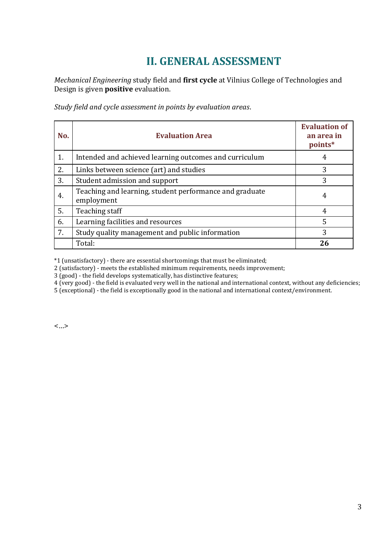# **II. GENERAL ASSESSMENT**

*Mechanical Engineering* study field and **first cycle** at Vilnius College of Technologies and Design is given **positive** evaluation.

*Study field and cycle assessment in points by evaluation areas*.

| No. | <b>Evaluation Area</b>                                                | <b>Evaluation of</b><br>an area in<br>points* |
|-----|-----------------------------------------------------------------------|-----------------------------------------------|
| 1.  | Intended and achieved learning outcomes and curriculum                | 4                                             |
| 2.  | Links between science (art) and studies                               | 3                                             |
| 3.  | Student admission and support                                         | 3                                             |
| 4.  | Teaching and learning, student performance and graduate<br>employment | 4                                             |
| 5.  | Teaching staff                                                        | 4                                             |
| 6.  | Learning facilities and resources                                     | 5                                             |
| 7.  | Study quality management and public information                       | 3                                             |
|     | Total:                                                                | 26                                            |

\*1 (unsatisfactory) - there are essential shortcomings that must be eliminated;

2 (satisfactory) - meets the established minimum requirements, needs improvement;

3 (good) - the field develops systematically, has distinctive features;

4 (very good) - the field is evaluated very well in the national and international context, without any deficiencies;

5 (exceptional) - the field is exceptionally good in the national and international context/environment.

<…>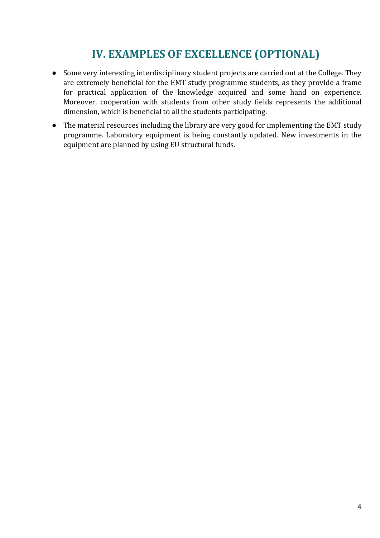# **IV. EXAMPLES OF EXCELLENCE (OPTIONAL)**

- Some very interesting interdisciplinary student projects are carried out at the College. They are extremely beneficial for the EMT study programme students, as they provide a frame for practical application of the knowledge acquired and some hand on experience. Moreover, cooperation with students from other study fields represents the additional dimension, which is beneficial to all the students participating.
- The material resources including the library are very good for implementing the EMT study programme. Laboratory equipment is being constantly updated. New investments in the equipment are planned by using EU structural funds.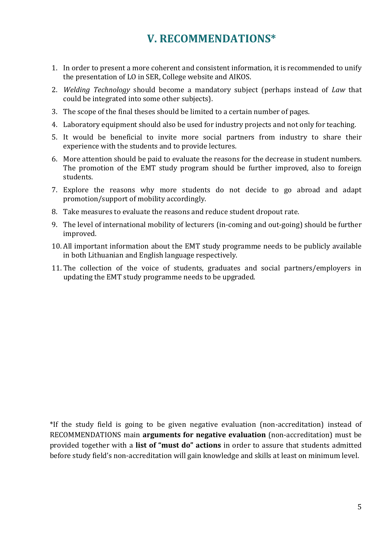# **V. RECOMMENDATIONS\***

- 1. In order to present a more coherent and consistent information, it is recommended to unify the presentation of LO in SER, College website and AIKOS.
- 2. *Welding Technology* should become a mandatory subject (perhaps instead of *Law* that could be integrated into some other subjects).
- 3. The scope of the final theses should be limited to a certain number of pages.
- 4. Laboratory equipment should also be used for industry projects and not only for teaching.
- 5. It would be beneficial to invite more social partners from industry to share their experience with the students and to provide lectures.
- 6. More attention should be paid to evaluate the reasons for the decrease in student numbers. The promotion of the EMT study program should be further improved, also to foreign students.
- 7. Explore the reasons why more students do not decide to go abroad and adapt promotion/support of mobility accordingly.
- 8. Take measures to evaluate the reasons and reduce student dropout rate.
- 9. The level of international mobility of lecturers (in-coming and out-going) should be further improved.
- 10. All important information about the EMT study programme needs to be publicly available in both Lithuanian and English language respectively.
- 11. The collection of the voice of students, graduates and social partners/employers in updating the EMT study programme needs to be upgraded.

\*If the study field is going to be given negative evaluation (non-accreditation) instead of RECOMMENDATIONS main **arguments for negative evaluation** (non-accreditation) must be provided together with a **list of "must do" actions** in order to assure that students admitted before study field's non-accreditation will gain knowledge and skills at least on minimum level.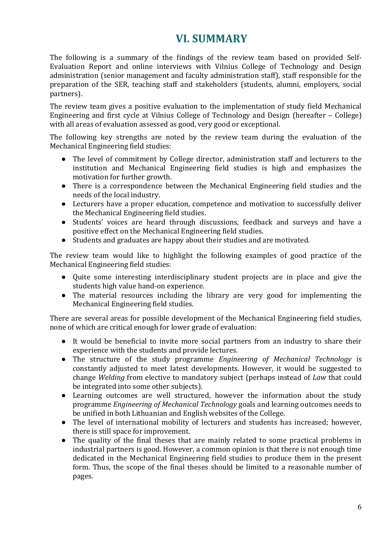## **VI. SUMMARY**

The following is a summary of the findings of the review team based on provided Self-Evaluation Report and online interviews with Vilnius College of Technology and Design administration (senior management and faculty administration staff), staff responsible for the preparation of the SER, teaching staff and stakeholders (students, alumni, employers, social partners).

The review team gives a positive evaluation to the implementation of study field Mechanical Engineering and first cycle at Vilnius College of Technology and Design (hereafter – College) with all areas of evaluation assessed as good, very good or exceptional.

The following key strengths are noted by the review team during the evaluation of the Mechanical Engineering field studies:

- The level of commitment by College director, administration staff and lecturers to the institution and Mechanical Engineering field studies is high and emphasizes the motivation for further growth.
- There is a correspondence between the Mechanical Engineering field studies and the needs of the local industry.
- Lecturers have a proper education, competence and motivation to successfully deliver the Mechanical Engineering field studies.
- Students' voices are heard through discussions, feedback and surveys and have a positive effect on the Mechanical Engineering field studies.
- Students and graduates are happy about their studies and are motivated.

The review team would like to highlight the following examples of good practice of the Mechanical Engineering field studies:

- Quite some interesting interdisciplinary student projects are in place and give the students high value hand-on experience.
- The material resources including the library are very good for implementing the Mechanical Engineering field studies.

There are several areas for possible development of the Mechanical Engineering field studies, none of which are critical enough for lower grade of evaluation:

- It would be beneficial to invite more social partners from an industry to share their experience with the students and provide lectures.
- The structure of the study programme *Engineering of Mechanical Technology* is constantly adjusted to meet latest developments. However, it would be suggested to change *Welding* from elective to mandatory subject (perhaps instead of *Law* that could be integrated into some other subjects).
- Learning outcomes are well structured, however the information about the study programme *Engineering of Mechanical Technology* goals and learning outcomes needs to be unified in both Lithuanian and English websites of the College.
- The level of international mobility of lecturers and students has increased; however, there is still space for improvement.
- The quality of the final theses that are mainly related to some practical problems in industrial partners is good. However, a common opinion is that there is not enough time dedicated in the Mechanical Engineering field studies to produce them in the present form. Thus, the scope of the final theses should be limited to a reasonable number of pages.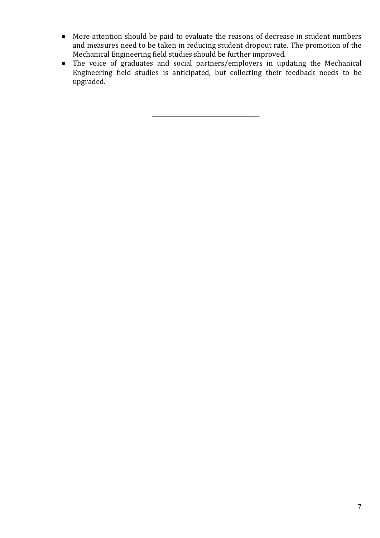- More attention should be paid to evaluate the reasons of decrease in student numbers and measures need to be taken in reducing student dropout rate. The promotion of the Mechanical Engineering field studies should be further improved.
- The voice of graduates and social partners/employers in updating the Mechanical Engineering field studies is anticipated, but collecting their feedback needs to be upgraded.

\_\_\_\_\_\_\_\_\_\_\_\_\_\_\_\_\_\_\_\_\_\_\_\_\_\_\_\_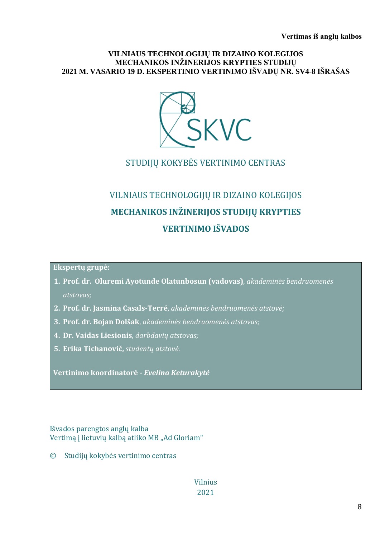#### **VILNIAUS TECHNOLOGIJŲ IR DIZAINO KOLEGIJOS MECHANIKOS INŽINERIJOS KRYPTIES STUDIJŲ 2021 M. VASARIO 19 D. EKSPERTINIO VERTINIMO IŠVADŲ NR. SV4-8 IŠRAŠAS**



### STUDIJŲ KOKYBĖS VERTINIMO CENTRAS

# VILNIAUS TECHNOLOGIJŲ IR DIZAINO KOLEGIJOS **MECHANIKOS INŽINERIJOS STUDIJŲ KRYPTIES VERTINIMO IŠVADOS**

**Ekspertų grupė:** 

- **1. Prof. dr. Oluremi Ayotunde Olatunbosun (vadovas)**, *akademinės bendruomenės atstovas;*
- **2. Prof. dr. Jasmina Casals-Terré**, *akademinės bendruomenės atstovė;*
- **3. Prof. dr. Bojan Dolšak**, *akademinės bendruomenės atstovas;*
- **4. Dr. Vaidas Liesionis**, *darbdavių atstovas;*
- **5. Erika Tichanovič,** *studentų atstovė*.

**Vertinimo koordinatorė -** *Evelina Keturakytė*

#### Išvados parengtos anglų kalba Vertima į lietuvių kalbą atliko MB "Ad Gloriam"

© Studijų kokybės vertinimo centras

Vilnius 2021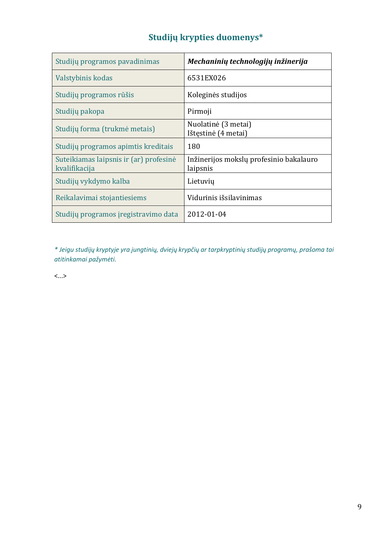| Studijų programos pavadinimas                           | Mechaninių technologijų inžinerija                  |
|---------------------------------------------------------|-----------------------------------------------------|
| Valstybinis kodas                                       | 6531EX026                                           |
| Studijų programos rūšis                                 | Koleginės studijos                                  |
| Studijų pakopa                                          | Pirmoji                                             |
| Studijų forma (trukmė metais)                           | Nuolatinė (3 metai)<br>Ištęstinė (4 metai)          |
| Studijų programos apimtis kreditais                     | 180                                                 |
| Suteikiamas laipsnis ir (ar) profesinė<br>kvalifikacija | Inžinerijos mokslų profesinio bakalauro<br>laipsnis |
| Studijų vykdymo kalba                                   | Lietuvių                                            |
| Reikalavimai stojantiesiems                             | Vidurinis išsilavinimas                             |
| Studijų programos įregistravimo data                    | 2012-01-04                                          |

## **Studijų krypties duomenys\***

*\* Jeigu studijų kryptyje yra jungtinių, dviejų krypčių ar tarpkryptinių studijų programų, prašoma tai atitinkamai pažymėti.*

<...>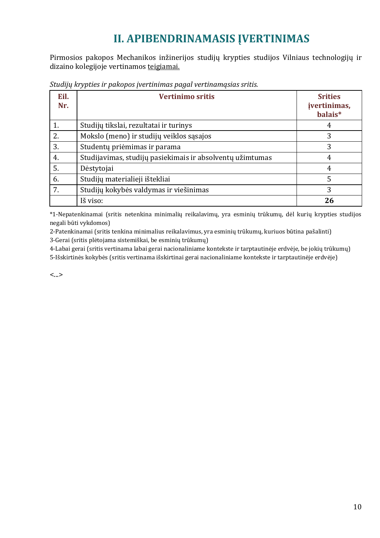# **II. APIBENDRINAMASIS ĮVERTINIMAS**

Pirmosios pakopos Mechanikos inžinerijos studijų krypties studijos Vilniaus technologijų ir dizaino kolegijoje vertinamos teigiamai.

| Eil.<br>Nr. | <b>Vertinimo sritis</b>                                   | <b>Srities</b><br><i>jvertinimas</i> ,<br>balais* |
|-------------|-----------------------------------------------------------|---------------------------------------------------|
|             | Studijų tikslai, rezultatai ir turinys                    | 4                                                 |
| 2.          | Mokslo (meno) ir studijų veiklos sąsajos                  | 3                                                 |
| 3.          | Studentų priėmimas ir parama                              |                                                   |
| 4.          | Studijavimas, studijų pasiekimais ir absolventų užimtumas | 4                                                 |
| 5.          | Destytojai                                                | 4                                                 |
| 6.          | Studijų materialieji ištekliai                            |                                                   |
| 7.          | Studijų kokybės valdymas ir viešinimas                    | 3                                                 |
|             | Iš viso:                                                  | 26                                                |

*Studijų krypties ir pakopos įvertinimas pagal vertinamąsias sritis.*

\*1-Nepatenkinamai (sritis netenkina minimalių reikalavimų, yra esminių trūkumų, dėl kurių krypties studijos negali būti vykdomos)

2-Patenkinamai (sritis tenkina minimalius reikalavimus, yra esminių trūkumų, kuriuos būtina pašalinti) 3-Gerai (sritis plėtojama sistemiškai, be esminių trūkumų)

4-Labai gerai (sritis vertinama labai gerai nacionaliniame kontekste ir tarptautinėje erdvėje, be jokių trūkumų) 5-Išskirtinės kokybės (sritis vertinama išskirtinai gerai nacionaliniame kontekste ir tarptautinėje erdvėje)

<...>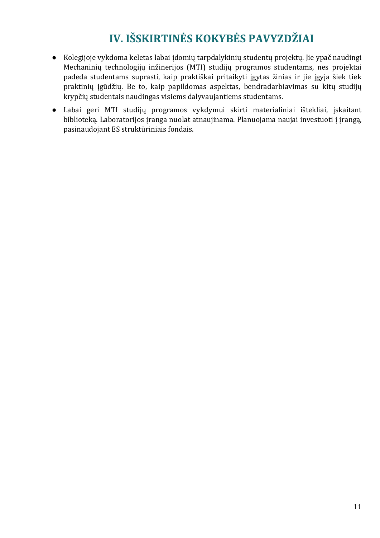# **IV. IŠSKIRTINĖS KOKYBĖS PAVYZDŽIAI**

- Kolegijoje vykdoma keletas labai įdomių tarpdalykinių studentų projektų. Jie ypač naudingi Mechaninių technologijų inžinerijos (MTI) studijų programos studentams, nes projektai padeda studentams suprasti, kaip praktiškai pritaikyti įgytas žinias ir jie įgyja šiek tiek praktinių įgūdžių. Be to, kaip papildomas aspektas, bendradarbiavimas su kitų studijų krypčių studentais naudingas visiems dalyvaujantiems studentams.
- Labai geri MTI studijų programos vykdymui skirti materialiniai ištekliai, įskaitant biblioteką. Laboratorijos įranga nuolat atnaujinama. Planuojama naujai investuoti į įrangą, pasinaudojant ES struktūriniais fondais.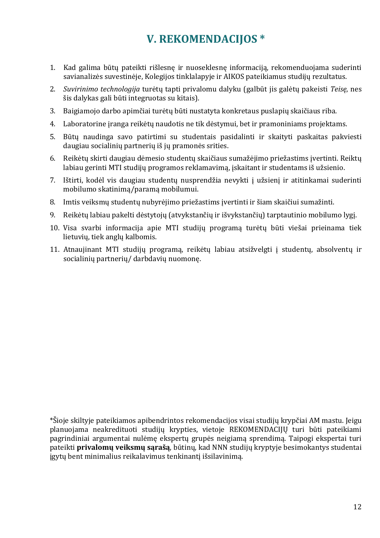# **V. REKOMENDACIJOS \***

- 1. Kad galima būtų pateikti rišlesnę ir nuoseklesnę informaciją, rekomenduojama suderinti savianalizės suvestinėje, Kolegijos tinklalapyje ir AIKOS pateikiamus studijų rezultatus.
- 2. *Suvirinimo technologija* turėtų tapti privalomu dalyku (galbūt jis galėtų pakeisti *Teisę*, nes šis dalykas gali būti integruotas su kitais).
- 3. Baigiamojo darbo apimčiai turėtų būti nustatyta konkretaus puslapių skaičiaus riba.
- 4. Laboratorine įranga reikėtų naudotis ne tik dėstymui, bet ir pramoniniams projektams.
- 5. Būtų naudinga savo patirtimi su studentais pasidalinti ir skaityti paskaitas pakviesti daugiau socialinių partnerių iš jų pramonės srities.
- 6. Reikėtų skirti daugiau dėmesio studentų skaičiaus sumažėjimo priežastims įvertinti. Reiktų labiau gerinti MTI studijų programos reklamavimą, įskaitant ir studentams iš užsienio.
- 7. Ištirti, kodėl vis daugiau studentų nusprendžia nevykti į užsienį ir atitinkamai suderinti mobilumo skatinimą/paramą mobilumui.
- 8. Imtis veiksmų studentų nubyrėjimo priežastims įvertinti ir šiam skaičiui sumažinti.
- 9. Reikėtų labiau pakelti dėstytojų (atvykstančių ir išvykstančių) tarptautinio mobilumo lygį.
- 10. Visa svarbi informacija apie MTI studijų programą turėtų būti viešai prieinama tiek lietuvių, tiek anglų kalbomis.
- 11. Atnaujinant MTI studijų programą, reikėtų labiau atsižvelgti į studentų, absolventų ir socialinių partnerių/ darbdavių nuomonę.

\*Šioje skiltyje pateikiamos apibendrintos rekomendacijos visai studijų krypčiai AM mastu. Jeigu planuojama neakredituoti studijų krypties, vietoje REKOMENDACIJŲ turi būti pateikiami pagrindiniai argumentai nulėmę ekspertų grupės neigiamą sprendimą. Taipogi ekspertai turi pateikti **privalomų veiksmų sąrašą**, būtinų, kad NNN studijų kryptyje besimokantys studentai įgytų bent minimalius reikalavimus tenkinantį išsilavinimą.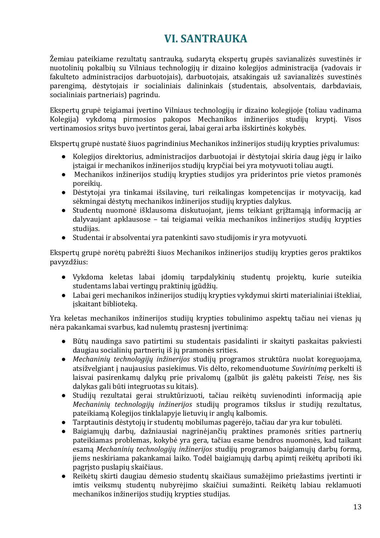# **VI. SANTRAUKA**

Žemiau pateikiame rezultatų santrauką, sudarytą ekspertų grupės savianalizės suvestinės ir nuotolinių pokalbių su Vilniaus technologijų ir dizaino kolegijos administracija (vadovais ir fakulteto administracijos darbuotojais), darbuotojais, atsakingais už savianalizės suvestinės parengimą, dėstytojais ir socialiniais dalininkais (studentais, absolventais, darbdaviais, socialiniais partneriais) pagrindu.

Ekspertų grupė teigiamai įvertino Vilniaus technologijų ir dizaino kolegijoje (toliau vadinama Kolegija) vykdomą pirmosios pakopos Mechanikos inžinerijos studijų kryptį. Visos vertinamosios sritys buvo įvertintos gerai, labai gerai arba išskirtinės kokybės.

Ekspertų grupė nustatė šiuos pagrindinius Mechanikos inžinerijos studijų krypties privalumus:

- Kolegijos direktorius, administracijos darbuotojai ir dėstytojai skiria daug jėgų ir laiko įstaigai ir mechanikos inžinerijos studijų krypčiai bei yra motyvuoti toliau augti.
- Mechanikos inžinerijos studijų krypties studijos yra priderintos prie vietos pramonės poreikių.
- Dėstytojai yra tinkamai išsilavinę, turi reikalingas kompetencijas ir motyvaciją, kad sėkmingai dėstytų mechanikos inžinerijos studijų krypties dalykus.
- Studentų nuomonė išklausoma diskutuojant, jiems teikiant grįžtamąją informaciją ar dalyvaujant apklausose – tai teigiamai veikia mechanikos inžinerijos studijų krypties studijas.
- Studentai ir absolventai yra patenkinti savo studijomis ir yra motyvuoti.

Ekspertų grupė norėtų pabrėžti šiuos Mechanikos inžinerijos studijų krypties geros praktikos pavyzdžius:

- Vykdoma keletas labai įdomių tarpdalykinių studentų projektų, kurie suteikia studentams labai vertingų praktinių įgūdžių.
- Labai geri mechanikos inžinerijos studijų krypties vykdymui skirti materialiniai ištekliai, įskaitant biblioteką.

Yra keletas mechanikos inžinerijos studijų krypties tobulinimo aspektų tačiau nei vienas jų nėra pakankamai svarbus, kad nulemtų prastesnį įvertinimą:

- Būtų naudinga savo patirtimi su studentais pasidalinti ir skaityti paskaitas pakviesti daugiau socialinių partnerių iš jų pramonės srities.
- *Mechaninių technologijų inžinerijos* studijų programos struktūra nuolat koreguojama, atsižvelgiant į naujausius pasiekimus. Vis dėlto, rekomenduotume *Suvirinimą* perkelti iš laisvai pasirenkamų dalykų prie privalomų (galbūt jis galėtų pakeisti *Teisę*, nes šis dalykas gali būti integruotas su kitais).
- Studijų rezultatai gerai struktūrizuoti, tačiau reikėtų suvienodinti informaciją apie *Mechaninių technologijų inžinerijos* studijų programos tikslus ir studijų rezultatus, pateikiamą Kolegijos tinklalapyje lietuvių ir anglų kalbomis.
- Tarptautinis dėstytojų ir studentų mobilumas pagerėjo, tačiau dar yra kur tobulėti.
- Baigiamųjų darbų, dažniausiai nagrinėjančių praktines pramonės srities partnerių pateikiamas problemas, kokybė yra gera, tačiau esame bendros nuomonės, kad taikant esamą *Mechaninių technologijų inžinerijos* studijų programos baigiamųjų darbų formą, jiems neskiriama pakankamai laiko. Todėl baigiamųjų darbų apimtį reikėtų apriboti iki pagrįsto puslapių skaičiaus.
- Reikėtų skirti daugiau dėmesio studentų skaičiaus sumažėjimo priežastims įvertinti ir imtis veiksmų studentų nubyrėjimo skaičiui sumažinti. Reikėtų labiau reklamuoti mechanikos inžinerijos studijų krypties studijas.